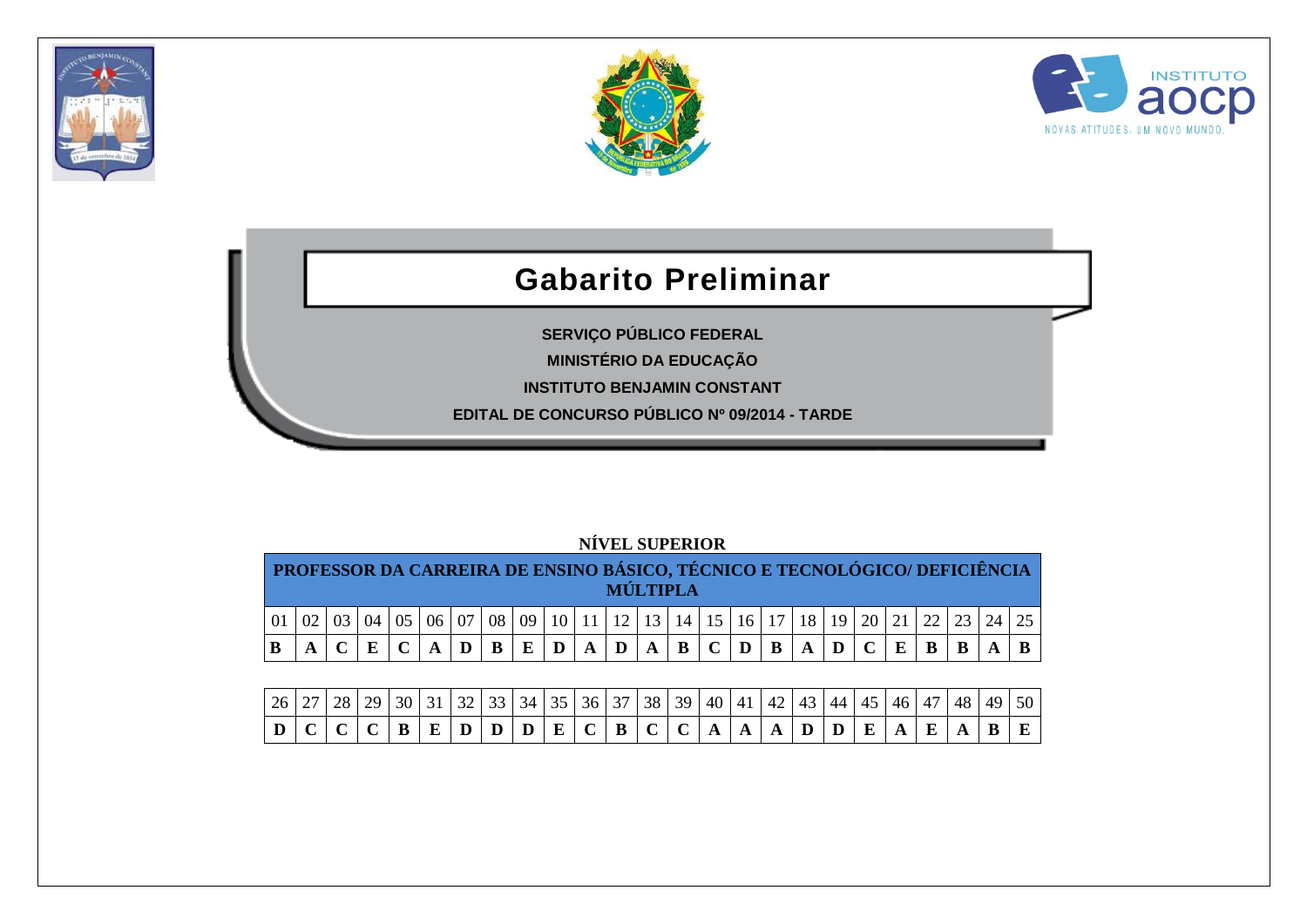





## **Gabarito Preliminar**

**SERVIÇO PÚBLICO FEDERAL MINISTÉRIO DA EDUCAÇÃO INSTITUTO BENJAMIN CONSTANT**

**EDITAL DE CONCURSO PÚBLICO Nº 09/2014 - TARDE**

| PROFESSOR DA CARREIRA DE ENSINO BÁSICO, TÉCNICO E TECNOLÓGICO/ DEFICIÊNCIA |  |  |                 |    |   |   |              | <b>MÚLTIPLA</b>                                                                    |             |              |            |              |              |  |              |  |  |
|----------------------------------------------------------------------------|--|--|-----------------|----|---|---|--------------|------------------------------------------------------------------------------------|-------------|--------------|------------|--------------|--------------|--|--------------|--|--|
|                                                                            |  |  | 07 <sup>1</sup> | 08 |   |   |              | 09   10   11   12   13   14   15   16   17   18   19   20   21   22   23   24   25 |             |              |            |              |              |  |              |  |  |
|                                                                            |  |  |                 | B  | E | D | $\mathbf{A}$ | $A$   $D$   $\overline{ }$                                                         | $\mathbf A$ | $\mathbf{B}$ | $C \mid D$ | $\mathbf{B}$ | $\mathbf{A}$ |  | $\mathbf{F}$ |  |  |
|                                                                            |  |  |                 |    |   |   |              |                                                                                    |             |              |            |              |              |  |              |  |  |

| $\left[26\right]27\left[28\right]29\left[30\right]31\left[32\right]33\left[34\right]35\left[36\right]37\left[38\right]39\left[40\right]41\left[42\right]43\left[44\right]45\left[46\right]47\left[48\right]49\left[50\right]$ |  |  |  |  |  |  |  |  |  |  |  |  |
|-------------------------------------------------------------------------------------------------------------------------------------------------------------------------------------------------------------------------------|--|--|--|--|--|--|--|--|--|--|--|--|
| $ D C C C B E D D D E C B C A A A D D E A E A$                                                                                                                                                                                |  |  |  |  |  |  |  |  |  |  |  |  |

## **NÍVEL SUPERIOR**